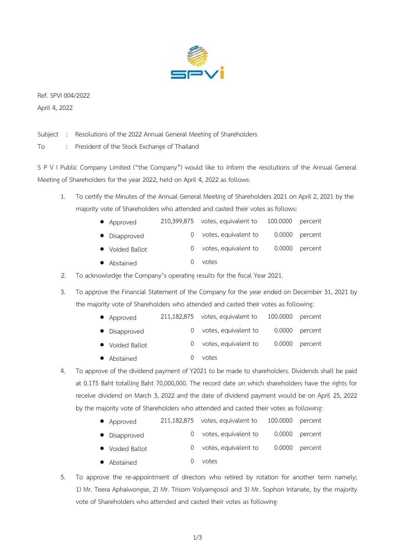

Ref. SPVI 004/2022 April 4, 2022

Subject : Resolutions of the 2022 Annual General Meeting of Shareholders

To : President of the Stock Exchange of Thailand

S P V I Public Company Limited ("the Company") would like to inform the resolutions of the Annual General Meeting of Shareholders for the year 2022, held on April 4, 2022 as follows:

- 1. To certify the Minutes of the Annual General Meeting of Shareholders 2021 on April 2, 2021 by the majority vote of Shareholders who attended and casted their votes as follows:
	- Approved 210,399,875 votes, equivalent to 100.0000 percent
	- Disapproved 0 votes, equivalent to 0.0000 percent
	- Voided Ballot 0 votes, equivalent to 0.0000 percent
	- Abstained 0 votes
- 2. To acknowledge the Company's operating results for the fiscal Year 2021.

3. To approve the Financial Statement of the Company for the year ended on December 31, 2021 by the majority vote of Shareholders who attended and casted their votes as following:

- Approved 211,182,875 votes, equivalent to 100.0000 percent
- Disapproved 0 votes, equivalent to 0.0000 percent
- Voided Ballot **0** votes, equivalent to 0.0000 percent
- Abstained 0 votes
- 4. To approve of the dividend payment of Y2021 to be made to shareholders. Dividends shall be paid at 0.175 Baht totalling Baht 70,000,000. The record date on which shareholders have the rights for receive dividend on March 3, 2022 and the date of dividend payment would be on April 25, 2022 by the majority vote of Shareholders who attended and casted their votes as following:

| • Approved      | 211,182,875 votes, equivalent to 100.0000 percent |                |
|-----------------|---------------------------------------------------|----------------|
| • Disapproved   | votes, equivalent to                              | 0.0000 percent |
| • Voided Ballot | votes, equivalent to                              | 0.0000 percent |
| • Abstained     | votes                                             |                |

5. To approve the re-appointment of directors who retired by rotation for another term namely; 1) Mr. Teera Aphaiwongse, 2) Mr. Trisorn Volyarngosol and 3) Mr. Sophon Intanate, by the majority vote of Shareholders who attended and casted their votes as following: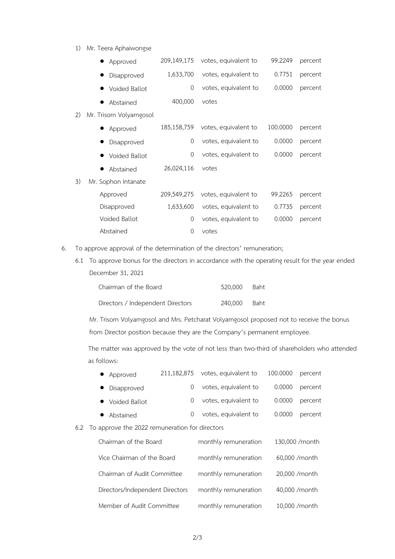1) Mr. Teera Aphaiwongse

| Approved                 |             |                      |                      | percent |
|--------------------------|-------------|----------------------|----------------------|---------|
| Disapproved              | 1,633,700   | votes, equivalent to | 0.7751               | percent |
| Voided Ballot            | 0           | votes, equivalent to | 0.0000               | percent |
| Abstained                | 400,000     | votes                |                      |         |
| Mr. Trisorn Volyarngosol |             |                      |                      |         |
| Approved                 | 185,158,759 | votes, equivalent to | 100.0000             | percent |
| Disapproved              | 0           | votes, equivalent to | 0.0000               | percent |
| Voided Ballot            | 0           | votes, equivalent to | 0.0000               | percent |
| Abstained                | 26,024,116  | votes                |                      |         |
| Mr. Sophon Intanate      |             |                      |                      |         |
| Approved                 | 209,549,275 | votes, equivalent to | 99.2265              | percent |
| Disapproved              | 1,633,600   | votes, equivalent to | 0.7735               | percent |
| Voided Ballot            | 0           | votes, equivalent to | 0.0000               | percent |
| Abstained                | 0           | votes                |                      |         |
|                          |             | 209,149,175          | votes, equivalent to | 99.2249 |

- 6. To approve approval of the determination of the directors' remuneration;
	- 6.1 To approve bonus for the directors in accordance with the operating result for the year ended December 31, 2021

| Chairman of the Board             | 520.000 Baht |  |
|-----------------------------------|--------------|--|
| Directors / Independent Directors | 240,000 Baht |  |

Mr. Trisorn Volyarngosol and Mrs. Petcharat Volyarngosol proposed not to receive the bonus from Director position because they are the Company's permanent employee.

The matter was approved by the vote of not less than two-third of shareholders who attended as follows:

|     | Approved                                       | 211,182,875 | votes, equivalent to | 100.0000 | percent         |
|-----|------------------------------------------------|-------------|----------------------|----------|-----------------|
|     | Disapproved                                    | 0           | votes, equivalent to | 0.0000   | percent         |
|     | Voided Ballot                                  | $\theta$    | votes, equivalent to | 0.0000   | percent         |
|     | Abstained                                      | $\theta$    | votes, equivalent to | 0.0000   | percent         |
| 6.2 | To approve the 2022 remuneration for directors |             |                      |          |                 |
|     | Chairman of the Board                          |             | monthly remuneration |          | 130,000 / month |
|     | Vice Chairman of the Board                     |             | monthly remuneration |          | 60,000 / month  |
|     | Chairman of Audit Committee                    |             | monthly remuneration |          | 20,000 / month  |
|     | Directors/Independent Directors                |             | monthly remuneration |          | 40,000 / month  |
|     | Member of Audit Committee                      |             | monthly remuneration |          | 10,000 /month   |